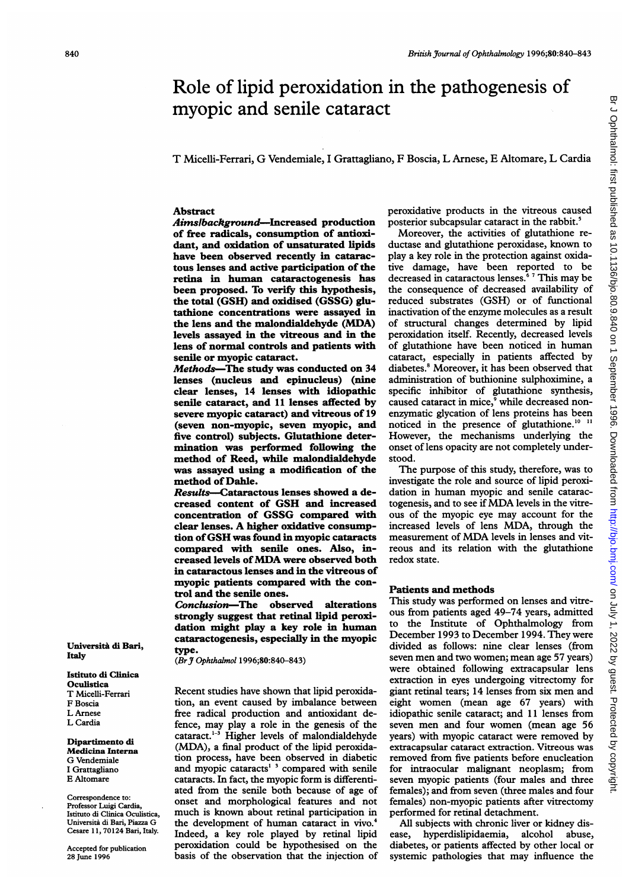# Role of lipid peroxidation in the pathogenesis of myopic and senile cataract

# T Micelli-Ferrari, G Vendemiale, <sup>I</sup> Grattagliano, F Boscia, L Arnese, E Altomare, L Cardia

#### Abstract

Aimsibackground-Increased production of free radicals, consumption of antioxidant, and oxidation of unsaturated lipids have been observed recently in cataractous lenses and active participation of the retina in human cataractogenesis has been proposed. To verify this hypothesis, the total (GSH) and oxidised (GSSG) glutathione concentrations were assayed in the lens and the malondialdehyde (MDA) levels assayed in the vitreous and in the lens of normal controls and patients with senile or myopic cataract.

Methods-The study was conducted on 34 lenses (nucleus and epinucleus) (nine clear lenses, 14 lenses with idiopathic senile cataract, and 11 lenses affected by severe myopic cataract) and vitreous of 19 (seven non-myopic, seven myopic, and five control) subjects. Glutathione determination was performed following the method of Reed, while malondialdehyde was assayed using a modification of the method of Dahle.

Results-Cataractous lenses showed a decreased content of GSH and increased concentration of GSSG compared with clear lenses. A higher oxidative consumption ofGSH was found in myopic cataracts compared with senile ones. Also, increased levels ofMDA were observed both in cataractous lenses and in the vitreous of myopic patients compared with the control and the senile ones.

Conclusion-The observed alterations strongly suggest that retinal lipid peroxidation might play a key role in human cataractogenesis, especially in the myopic type.

(Br J Ophthalmol 1996;80:840-843)

Recent studies have shown that lipid peroxidation, an event caused by imbalance between free radical production and antioxidant defence, may play a role in the genesis of the cataract. $1-3$  Higher levels of malondialdehyde (MDA), a final product of the lipid peroxidation process, have been observed in diabetic and myopic cataracts<sup>1</sup><sup>3</sup> compared with senile cataracts. In fact, the myopic form is differentiated from the senile both because of age of onset and morphological features and not much is known about retinal participation in the development of human cataract in vivo.<sup>4</sup> Indeed, a key role played by retinal lipid peroxidation could be hypothesised on the basis of the observation that the injection of peroxidative products in the vitreous caused posterior subcapsular cataract in the rabbit.<sup>5</sup>

Moreover, the activities of glutathione reductase and glutathione peroxidase, known to play a key role in the protection against oxidative damage, have been reported to be decreased in cataractous lenses.<sup>6</sup> <sup>7</sup> This may be the consequence of decreased availability of reduced substrates (GSH) or of functional inactivation of the enzyme molecules as a result of structural changes determined by lipid peroxidation itself. Recently, decreased levels of glutathione have been noticed in human cataract, especially in patients affected by diabetes.<sup>8</sup> Moreover, it has been observed that administration of buthionine sulphoximine, a specific inhibitor of glutathione synthesis, caused cataract in mice,<sup>9</sup> while decreased nonenzymatic glycation of lens proteins has been noticed in the presence of glutathione.<sup>10 11</sup> However, the mechanisms underlying the onset of lens opacity are not completely understood.

The purpose of this study, therefore, was to investigate the role and source of lipid peroxidation in human myopic and senile cataractogenesis, and to see if MDA levels in the vitreous of the myopic eye may account for the increased levels of lens MDA, through the measurement of MDA levels in lenses and vitreous and its relation with the glutathione redox state.

### Patients and methods

This study was performed on lenses and vitreous from patients aged 49-74 years, admitted to the Institute of Ophthalmology from December 1993 to December 1994. They were divided as follows: nine clear lenses (from seven men and two women; mean age 57 years) were obtained following extracapsular lens extraction in eyes undergoing vitrectomy for giant retinal tears; 14 lenses from six men and eight women (mean age 67 years) with idiopathic senile cataract; and 11 lenses from seven men and four women (mean age 56 years) with myopic cataract were removed by extracapsular cataract extraction. Vitreous was removed from five patients before enucleation for intraocular malignant neoplasm; from seven myopic patients (four males and three females); and from seven (three males and four females) non-myopic patients after vitrectomy performed for retinal detachment.

All subjects with chronic liver or kidney disease, hyperdislipidaemia, alcohol abuse, diabetes, or patients affected by other local or systemic pathologies that may influence the

Universita di Bari, Italy

Istituto di Clinica **Oculistica** T Micelli-Ferrari F Boscia L Arnese L Cardia

Dipartimento di Medicina Interna G Vendemiale I Grattagliano E Altomare

Correspondence to: Professor Luigi Cardia, Istituto di Clinica Oculistica, Universita di Bari, Piazza G Cesare <sup>1</sup> 1, 70124 Bari, Italy.

Accepted for publication 28 June 1996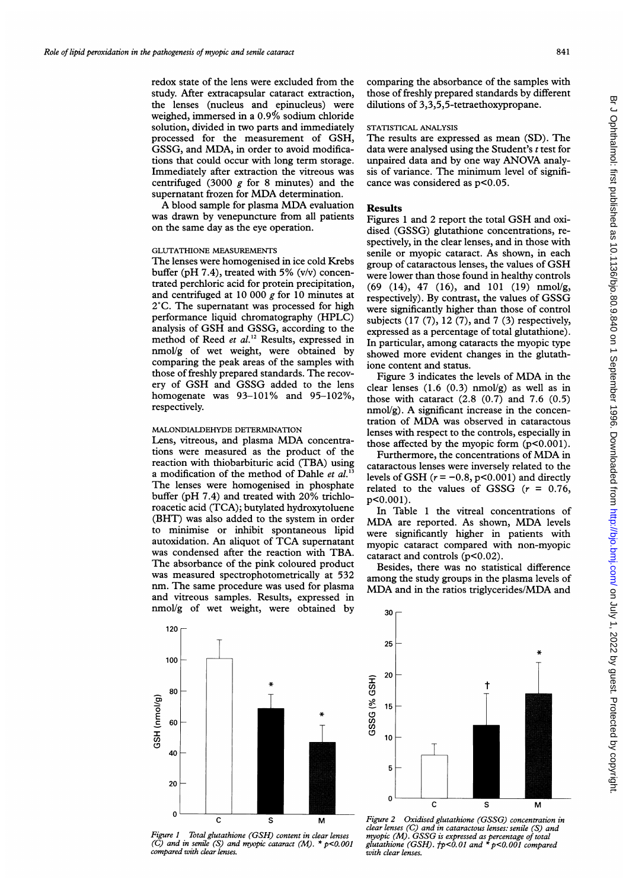redox state of the lens were excluded from the study. After extracapsular cataract extraction, the lenses (nucleus and epinucleus) were weighed, immersed in a 0.9'% sodium chloride solution, divided in two parts and immediately processed for the measurement of GSH, GSSG, and MDA, in order to avoid modifications that could occur with long term storage. Immediately after extraction the vitreous was centrifuged (3000  $g$  for 8 minutes) and the supernatant frozen for MDA determination.

A blood sample for plasma MDA evaluation was drawn by venepuncture from all patients on the same day as the eye operation.

# GLUTATHIONE MEASUREMENTS

The lenses were homogenised in ice cold Krebs buffer (pH 7.4), treated with 5% (v/v) concentrated perchloric acid for protein precipitation, and centrifuged at 10 000  $g$  for 10 minutes at 2°C. The supernatant was processed for high performance liquid chromatography (HPLC) analysis of GSH and GSSG, according to the method of Reed et al.<sup>12</sup> Results, expressed in nmol/g of wet weight, were obtained by comparing the peak areas of the samples with those of freshly prepared standards. The recovery of GSH and GSSG added to the lens homogenate was 93-101% and 95-102%, respectively.

#### MALONDIALDEHYDE DETERMINATION

Lens, vitreous, and plasma MDA concentrations were measured as the product of the reaction with thiobarbituric acid (TBA) using a modification of the method of Dahle et al.<sup>1</sup> The lenses were homogenised in phosphate buffer (pH 7.4) and treated with 20% trichloroacetic acid (TCA); butylated hydroxytoluene (BHT) was also added to the system in order to minimise or inhibit spontaneous lipid autoxidation. An aliquot of TCA supernatant was condensed after the reaction with TBA. The absorbance of the pink coloured product was measured spectrophotometrically at 532 nm. The same procedure was used for plasma and vitreous samples. Results, expressed in nmol/g of wet weight, were obtained by comparing the absorbance of the samples with those of freshly prepared standards by different dilutions of 3,3,5,5-tetraethoxypropane.

# STATISTICAL ANALYSIS

The results are expressed as mean (SD). The data were analysed using the Student's  $t$  test for unpaired data and by one way ANOVA analysis of variance. The minimum level of significance was considered as p<0.05.

# Results

Figures <sup>1</sup> and <sup>2</sup> report the total GSH and oxidised (GSSG) glutathione concentrations, respectively, in the clear lenses, and in those with senile or myopic cataract. As shown, in each group of cataractous lenses, the values of GSH were lower than those found in healthy controls (69 (14), 47 (16), and 101 (19) nmol/g, respectively). By contrast, the values of GSSG were significantly higher than those of control subjects (17 (7), 12 (7), and 7 (3) respectively, expressed as a percentage of total glutathione). In particular, among cataracts the myopic type showed more evident changes in the glutathione content and status.

Figure <sup>3</sup> indicates the levels of MDA in the clear lenses  $(1.6 (0.3)$  nmol/g) as well as in those with cataract  $(2.8 \ (0.7)$  and  $7.6 \ (0.5)$  $nmol/g$ ). A significant increase in the concentration of MDA was observed in cataractous lenses with respect to the controls, especially in those affected by the myopic form (p<0.001).

Furthermore, the concentrations of MDA in cataractous lenses were inversely related to the levels of GSH  $(r = -0.8, p < 0.001)$  and directly related to the values of GSSG  $(r = 0.76,$ p<0.00l).

In Table <sup>1</sup> the vitreal concentrations of MDA are reported. As shown, MDA levels were significantly higher in patients with myopic cataract compared with non-myopic cataract and controls  $(p<0.02)$ .

Besides, there was no statistical difference among the study groups in the plasma levels of MDA and in the ratios triglycerides/MDA and



Figure <sup>1</sup> Total glutathione (GSH) content in clear lenses (C) and in senile (S) and myopic cataract (M).  $*$  p<0.001 compared with clear lenses.



Figure 2 Oxidised glutathione (GSSG) concentration in clear lenses (C) and in cataractous lenses: senile (S) and myopic (M). GSSG is expressed as percentage of total glutathione (GSH).  $tp<0.01$  and  $*$   $p<0.001$  compared with clear lenses.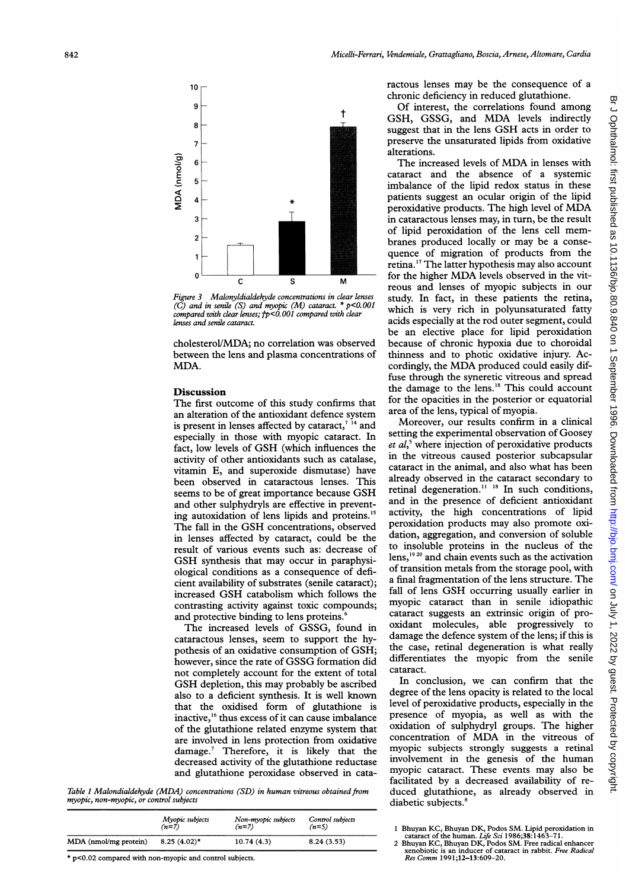

Figure 3 Malonyldialdehyde concentrations in clear lenses (C) and in senile (S) and myopic (M) cataract.  $*$  p<0.001 compared with clear lenses;  $tp<0.001$  compared with clear lenses and senile cataract.

cholesterol/MDA; no correlation was between the lens and plasma concentr MDA.

### **Discussion**

The first outcome of this study confirms that an alteration of the antioxidant defenc is present in lenses affected by cataract,<sup> $714$ </sup> and especially in those with myopic cataract. In fact, low levels of GSH (which influences the activity of other antioxidants such as catalase, vitamin E, and superoxide dismutase) have been observed in cataractous lenses. This seems to be of great importance because GSH and other sulphydryls are effective in ing autoxidation of lens lipids and proteins.<sup>15</sup> The fall in the GSH concentrations, observed in lenses affected by cataract, could be the result of various events such as: decrease of GSH synthesis that may occur in paraphysiological conditions as a consequence cient availability of substrates (senile increased GSH catabolism which fol contrasting activity against toxic compounds; and protective binding to lens proteins.<sup>6</sup>

The increased levels of GSSG, found in cataractous lenses, seem to support pothesis of an oxidative consumption of GSH; however, since the rate of GSSG formation did not completely account for the extent of total cataract. GSH depletion, this may probably be ascribed also to a deficient synthesis. It is well known that the oxidised form of glutathione is inactive,<sup>16</sup> thus excess of it can cause imbalance of the glutathione related enzyme sys are involved in lens protection from damage.<sup>7</sup> Therefore, it is likely that the decreased activity of the glutathione reductase and glutathione peroxidase observed

Table 1 Malondialdehyde (MDA) concentrations (SD) in human vitreous obtained from myopic, non-myopic, or control subjects

|                       | Myopic subjects | Non-myopic subjects | Control subjects |
|-----------------------|-----------------|---------------------|------------------|
|                       | $(n=7)$         | $(n=7)$             | $(n=5)$          |
| MDA (nmol/mg protein) | $8.25(4.02)$ *  | 10.74(4.3)          | 8.24(3.53)       |

\* p<0.02 compared with non-myopic and control subjects.

ractous lenses may be the consequence of <sup>a</sup> chronic deficiency in reduced glutathione.

Of interest, the correlations found among GSH, GSSG, and MDA levels indirectly suggest that in the lens GSH acts in order to preserve the unsaturated lipids from oxidative alterations.

The increased levels of MDA in lenses with cataract and the absence of a systemic imbalance of the lipid redox status in these patients suggest an ocular origin of the lipid peroxidative products. The high level of MDA in cataractous lenses may, in turn, be the result of lipid peroxidation of the lens cell membranes produced locally or may be <sup>a</sup> consequence of migration of products from the retina.'7 The latter hypothesis may also account for the higher MDA levels observed in the vitreous and lenses of myopic subjects in our study. In fact, in these patients the retina, which is very rich in polyunsaturated fatty acids especially at the rod outer segment, could be an elective place for lipid peroxidation because of chronic hypoxia due to choroidal thinness and to photic oxidative injury. Accordingly, the MDA produced could easily diffuse through the syneretic vitreous and spread the damage to the lens.'8 This could account for the opacities in the posterior or equatorial area of the lens, typical of myopia.

Moreover, our results confirm in a clinical setting the experimental observation of Goosey  $et \, al$ ,<sup>5</sup> where injection of peroxidative products in the vitreous caused posterior subcapsular cataract in the animal, and also what has been already observed in the cataract secondary to retinal degeneration. $11^{18}$  In such conditions, and in the presence of deficient antioxidant activity, the high concentrations of lipid peroxidation products may also promote oxidation, aggregation, and conversion of soluble to insoluble proteins in the nucleus of the  $lens,$ <sup>19 20</sup> and chain events such as the activation of transition metals from the storage pool, with a final fragmentation of the lens structure. The fall of lens GSH occurring usually earlier in myopic cataract than in senile idiopathic cataract suggests an extrinsic origin of prooxidant molecules, able progressively to damage the defence system of the lens; if this is the case, retinal degeneration is what really differentiates the myopic from the senile cataract.

In conclusion, we can confirm that the degree of the lens opacity is related to the local level of peroxidative products, especially in the presence of myopia, as well as with the oxidation of sulphydryl groups. The higher concentration of MDA in the vitreous of myopic subjects strongly suggests a retinal involvement in the genesis of the human myopic cataract. These events may also be facilitated by a decreased availability of reduced glutathione, as already observed in diabetic subjects.<sup>8</sup>

- 
- 1 Bhuyan KC, Bhuyan DK, Podos SM. Lipid peroxidation in<br>
cataract of the human. Life Sci 1986;38:1463-71.<br>
2 Bhuyan KC, Bhuyan DK, Podos SM. Free radical enhancer<br>
xenobiotic is an inducer of cataract in rabbit. Free Radic